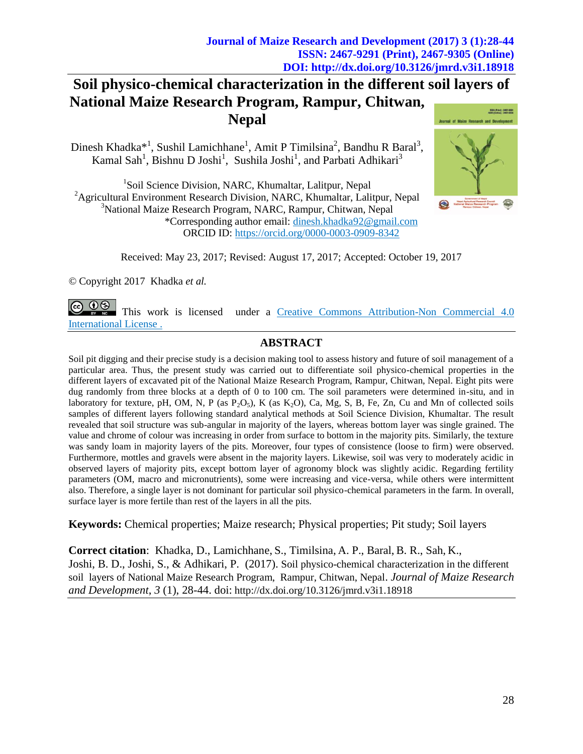# **Soil physico-chemical characterization in the different soil layers of National Maize Research Program, Rampur, Chitwan, Nepal**

Dinesh Khadka<sup>\*1</sup>, Sushil Lamichhane<sup>1</sup>, Amit P Timilsina<sup>2</sup>, Bandhu R Baral<sup>3</sup>, Kamal Sah<sup>1</sup>, Bishnu D Joshi<sup>1</sup>, Sushila Joshi<sup>1</sup>, and Parbati Adhikari<sup>3</sup>

<sup>1</sup>Soil Science Division, NARC, Khumaltar, Lalitpur, Nepal <sup>2</sup>Agricultural Environment Research Division, NARC, Khumaltar, Lalitpur, Nepal <sup>3</sup>National Maize Research Program, NARC, Rampur, Chitwan, Nepal \*Corresponding author email: dinesh.khadka92@gmail.com ORCID ID:<https://orcid.org/0000-0003-0909-8342>



Received: May 23, 2017; Revised: August 17, 2017; Accepted: October 19, 2017

*©* Copyright 2017 Khadka *et al.*

 $\odot \otimes$ This work is licensed under a [Creative Commons Attribution-Non](https://creativecommons.org/licenses/by-nc/4.0/legalcode) Commercial 4.0 [International](https://creativecommons.org/licenses/by-nc/4.0/legalcode) License .

# **ABSTRACT**

Soil pit digging and their precise study is a decision making tool to assess history and future of soil management of a particular area. Thus, the present study was carried out to differentiate soil physico-chemical properties in the different layers of excavated pit of the National Maize Research Program, Rampur, Chitwan, Nepal. Eight pits were dug randomly from three blocks at a depth of 0 to 100 cm. The soil parameters were determined in-situ, and in laboratory for texture, pH, OM, N, P (as P<sub>2</sub>O<sub>5</sub>), K (as K<sub>2</sub>O), Ca, Mg, S, B, Fe, Zn, Cu and Mn of collected soils samples of different layers following standard analytical methods at Soil Science Division, Khumaltar. The result revealed that soil structure was sub-angular in majority of the layers, whereas bottom layer was single grained. The value and chrome of colour was increasing in order from surface to bottom in the majority pits. Similarly, the texture was sandy loam in majority layers of the pits. Moreover, four types of consistence (loose to firm) were observed. Furthermore, mottles and gravels were absent in the majority layers. Likewise, soil was very to moderately acidic in observed layers of majority pits, except bottom layer of agronomy block was slightly acidic. Regarding fertility parameters (OM, macro and micronutrients), some were increasing and vice-versa, while others were intermittent also. Therefore, a single layer is not dominant for particular soil physico-chemical parameters in the farm. In overall, surface layer is more fertile than rest of the layers in all the pits.

**Keywords:** Chemical properties; Maize research; Physical properties; Pit study; Soil layers

**Correct citation**: Khadka, D., Lamichhane, S., Timilsina, A. P., Baral, B. R., Sah, K., Joshi, B. D., Joshi, S., & Adhikari, P. (2017). Soil physico-chemical characterization in the different soil layers of National Maize Research Program, Rampur, Chitwan, Nepal. *Journal of Maize Research and Development*, *3* (1), 28-44. doi: <http://dx.doi.org/10.3126/jmrd.v3i1.18918>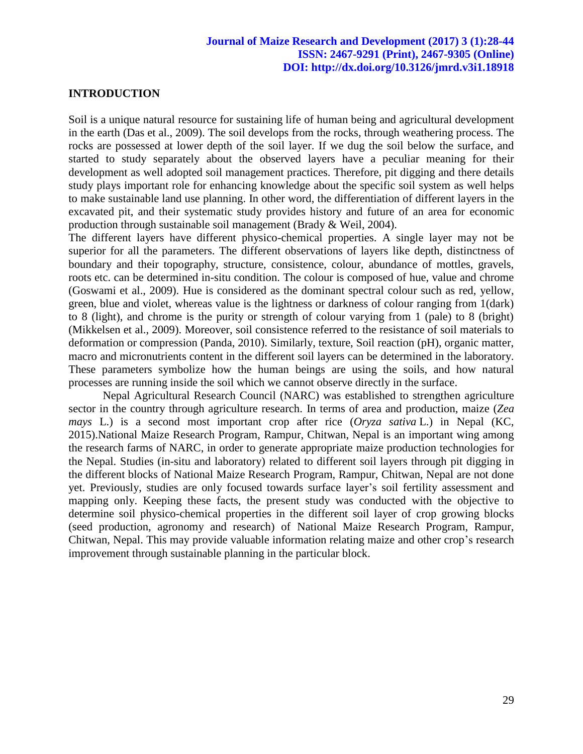#### **INTRODUCTION**

Soil is a unique natural resource for sustaining life of human being and agricultural development in the earth (Das et al., 2009). The soil develops from the rocks, through weathering process. The rocks are possessed at lower depth of the soil layer. If we dug the soil below the surface, and started to study separately about the observed layers have a peculiar meaning for their development as well adopted soil management practices. Therefore, pit digging and there details study plays important role for enhancing knowledge about the specific soil system as well helps to make sustainable land use planning. In other word, the differentiation of different layers in the excavated pit, and their systematic study provides history and future of an area for economic production through sustainable soil management (Brady & Weil, 2004).

The different layers have different physico-chemical properties. A single layer may not be superior for all the parameters. The different observations of layers like depth, distinctness of boundary and their topography, structure, consistence, colour, abundance of mottles, gravels, roots etc. can be determined in-situ condition. The colour is composed of hue, value and chrome (Goswami et al., 2009). Hue is considered as the dominant spectral colour such as red, yellow, green, blue and violet, whereas value is the lightness or darkness of colour ranging from 1(dark) to 8 (light), and chrome is the purity or strength of colour varying from 1 (pale) to 8 (bright) (Mikkelsen et al., 2009). Moreover, soil consistence referred to the resistance of soil materials to deformation or compression (Panda, 2010). Similarly, texture, Soil reaction (pH), organic matter, macro and micronutrients content in the different soil layers can be determined in the laboratory. These parameters symbolize how the human beings are using the soils, and how natural processes are running inside the soil which we cannot observe directly in the surface.

Nepal Agricultural Research Council (NARC) was established to strengthen agriculture sector in the country through agriculture research. In terms of area and production, maize (*Zea mays* L.) is a second most important crop after rice (*Oryza sativa* L.) in Nepal (KC, 2015).National Maize Research Program, Rampur, Chitwan, Nepal is an important wing among the research farms of NARC, in order to generate appropriate maize production technologies for the Nepal. Studies (in-situ and laboratory) related to different soil layers through pit digging in the different blocks of National Maize Research Program, Rampur, Chitwan, Nepal are not done yet. Previously, studies are only focused towards surface layer's soil fertility assessment and mapping only. Keeping these facts, the present study was conducted with the objective to determine soil physico-chemical properties in the different soil layer of crop growing blocks (seed production, agronomy and research) of National Maize Research Program, Rampur, Chitwan, Nepal. This may provide valuable information relating maize and other crop's research improvement through sustainable planning in the particular block.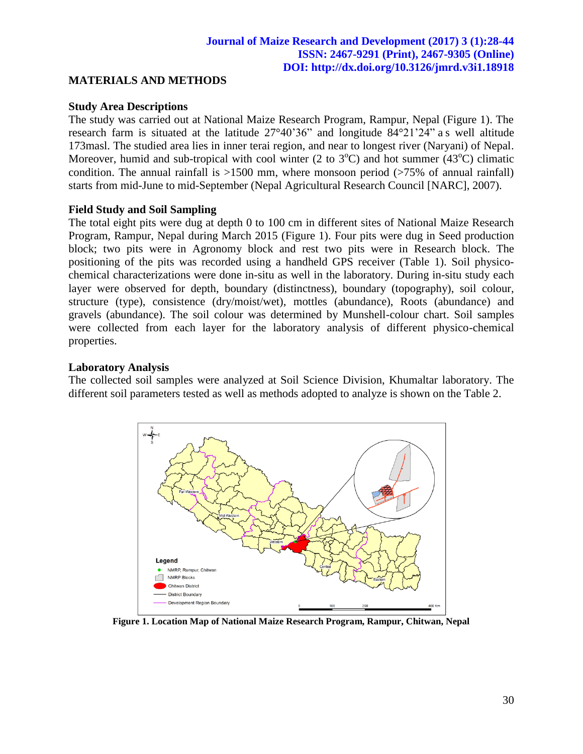# **MATERIALS AND METHODS**

#### **Study Area Descriptions**

The study was carried out at National Maize Research Program, Rampur, Nepal (Figure 1). The research farm is situated at the latitude 27°40'36" and longitude 84°21'24" a s well altitude 173masl. The studied area lies in inner terai region, and near to longest river (Naryani) of Nepal. Moreover, humid and sub-tropical with cool winter (2 to  $3^{\circ}$ C) and hot summer (43 $^{\circ}$ C) climatic condition. The annual rainfall is  $>1500$  mm, where monsoon period ( $>75\%$  of annual rainfall) starts from mid-June to mid-September (Nepal Agricultural Research Council [NARC], 2007).

#### **Field Study and Soil Sampling**

The total eight pits were dug at depth 0 to 100 cm in different sites of National Maize Research Program, Rampur, Nepal during March 2015 (Figure 1). Four pits were dug in Seed production block; two pits were in Agronomy block and rest two pits were in Research block. The positioning of the pits was recorded using a handheld GPS receiver (Table 1). Soil physicochemical characterizations were done in-situ as well in the laboratory. During in-situ study each layer were observed for depth, boundary (distinctness), boundary (topography), soil colour, structure (type), consistence (dry/moist/wet), mottles (abundance), Roots (abundance) and gravels (abundance). The soil colour was determined by Munshell-colour chart. Soil samples were collected from each layer for the laboratory analysis of different physico-chemical properties.

#### **Laboratory Analysis**

The collected soil samples were analyzed at Soil Science Division, Khumaltar laboratory. The different soil parameters tested as well as methods adopted to analyze is shown on the Table 2.



**Figure 1. Location Map of National Maize Research Program, Rampur, Chitwan, Nepal**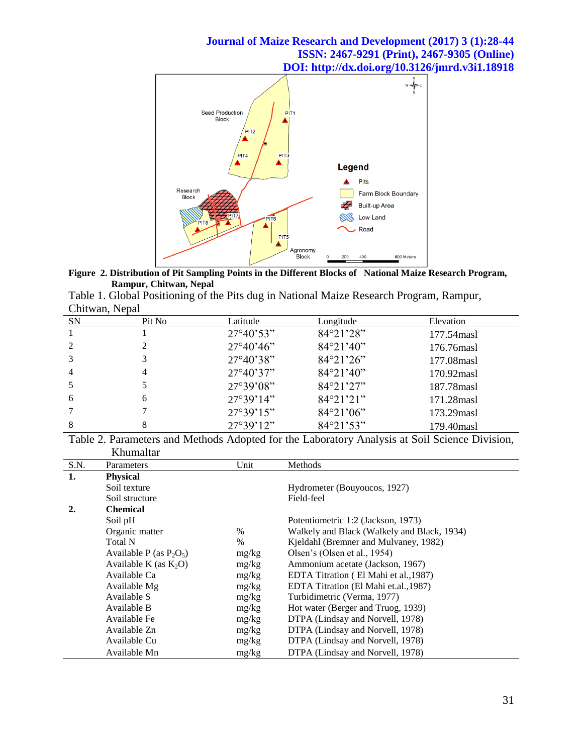

**Figure 2. Distribution of Pit Sampling Points in the Different Blocks of National Maize Research Program, Rampur, Chitwan, Nepal** 

| Table 1. Global Positioning of the Pits dug in National Maize Research Program, Rampur, |  |
|-----------------------------------------------------------------------------------------|--|
| Chitwan, Nepal                                                                          |  |

| <b>SN</b> | Pit No | Latitude           | Longitude           | Elevation     |
|-----------|--------|--------------------|---------------------|---------------|
|           |        | $27^{\circ}40'53"$ | $84^{\circ}21'28"$  | 177.54 masl   |
|           |        | $27^{\circ}40'46"$ | $84^{\circ}21'40''$ | 176.76 masl   |
|           |        | $27^{\circ}40'38"$ | $84^{\circ}21'26"$  | 177.08 masl   |
| 4         | 4      | $27^{\circ}40'37"$ | $84^{\circ}21'40''$ | $170.92$ masl |
|           |        | 27°39'08"          | $84^{\circ}21'27"$  | 187.78masl    |
| 6         | 6      | $27^{\circ}39'14"$ | $84^{\circ}21'21"$  | 171.28masl    |
|           |        | $27^{\circ}39'15"$ | $84^{\circ}21'06"$  | 173.29 masl   |
| 8         | 8      | 27°39'12"          | $84^{\circ}21'53"$  | 179.40masl    |

Table 2. Parameters and Methods Adopted for the Laboratory Analysis at Soil Science Division, Khumaltar

| S.N.             | Parameters                 | Unit  | Methods                                     |
|------------------|----------------------------|-------|---------------------------------------------|
| 1.               | <b>Physical</b>            |       |                                             |
|                  | Soil texture               |       | Hydrometer (Bouyoucos, 1927)                |
|                  | Soil structure             |       | Field-feel                                  |
| $\overline{2}$ . | <b>Chemical</b>            |       |                                             |
|                  | Soil pH                    |       | Potentiometric 1:2 (Jackson, 1973)          |
|                  | Organic matter             | $\%$  | Walkely and Black (Walkely and Black, 1934) |
|                  | Total N                    | $\%$  | Kjeldahl (Bremner and Mulvaney, 1982)       |
|                  | Available P (as $P_2O_5$ ) | mg/kg | Olsen's (Olsen et al., 1954)                |
|                  | Available K (as $K_2O$ )   | mg/kg | Ammonium acetate (Jackson, 1967)            |
|                  | Available Ca               | mg/kg | EDTA Titration (El Mahi et al., 1987)       |
|                  | Available Mg               | mg/kg | EDTA Titration (El Mahi et.al., 1987)       |
|                  | Available S                | mg/kg | Turbidimetric (Verma, 1977)                 |
|                  | Available B                | mg/kg | Hot water (Berger and Truog, 1939)          |
|                  | Available Fe               | mg/kg | DTPA (Lindsay and Norvell, 1978)            |
|                  | Available Zn               | mg/kg | DTPA (Lindsay and Norvell, 1978)            |
|                  | Available Cu               | mg/kg | DTPA (Lindsay and Norvell, 1978)            |
|                  | Available Mn               | mg/kg | DTPA (Lindsay and Norvell, 1978)            |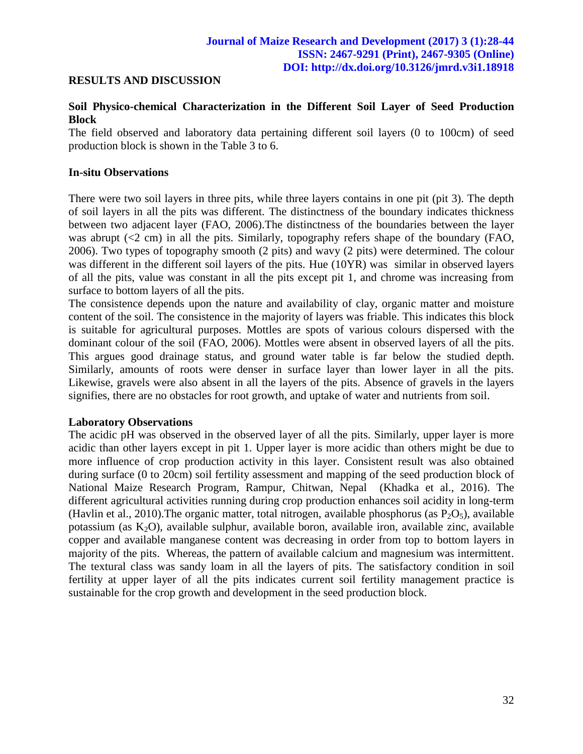#### **RESULTS AND DISCUSSION**

#### **Soil Physico-chemical Characterization in the Different Soil Layer of Seed Production Block**

The field observed and laboratory data pertaining different soil layers (0 to 100cm) of seed production block is shown in the Table 3 to 6.

#### **In-situ Observations**

There were two soil layers in three pits, while three layers contains in one pit (pit 3). The depth of soil layers in all the pits was different. The distinctness of the boundary indicates thickness between two adjacent layer (FAO, 2006).The distinctness of the boundaries between the layer was abrupt  $(\leq 2 \text{ cm})$  in all the pits. Similarly, topography refers shape of the boundary (FAO, 2006). Two types of topography smooth (2 pits) and wavy (2 pits) were determined. The colour was different in the different soil layers of the pits. Hue (10YR) was similar in observed layers of all the pits, value was constant in all the pits except pit 1, and chrome was increasing from surface to bottom layers of all the pits.

The consistence depends upon the nature and availability of clay, organic matter and moisture content of the soil. The consistence in the majority of layers was friable. This indicates this block is suitable for agricultural purposes. Mottles are spots of various colours dispersed with the dominant colour of the soil (FAO, 2006). Mottles were absent in observed layers of all the pits. This argues good drainage status, and ground water table is far below the studied depth. Similarly, amounts of roots were denser in surface layer than lower layer in all the pits. Likewise, gravels were also absent in all the layers of the pits. Absence of gravels in the layers signifies, there are no obstacles for root growth, and uptake of water and nutrients from soil.

#### **Laboratory Observations**

The acidic pH was observed in the observed layer of all the pits. Similarly, upper layer is more acidic than other layers except in pit 1. Upper layer is more acidic than others might be due to more influence of crop production activity in this layer. Consistent result was also obtained during surface (0 to 20cm) soil fertility assessment and mapping of the seed production block of National Maize Research Program, Rampur, Chitwan, Nepal (Khadka et al., 2016). The different agricultural activities running during crop production enhances soil acidity in long-term (Havlin et al., 2010). The organic matter, total nitrogen, available phosphorus (as  $P_2O_5$ ), available potassium (as  $K_2O$ ), available sulphur, available boron, available iron, available zinc, available copper and available manganese content was decreasing in order from top to bottom layers in majority of the pits. Whereas, the pattern of available calcium and magnesium was intermittent. The textural class was sandy loam in all the layers of pits. The satisfactory condition in soil fertility at upper layer of all the pits indicates current soil fertility management practice is sustainable for the crop growth and development in the seed production block.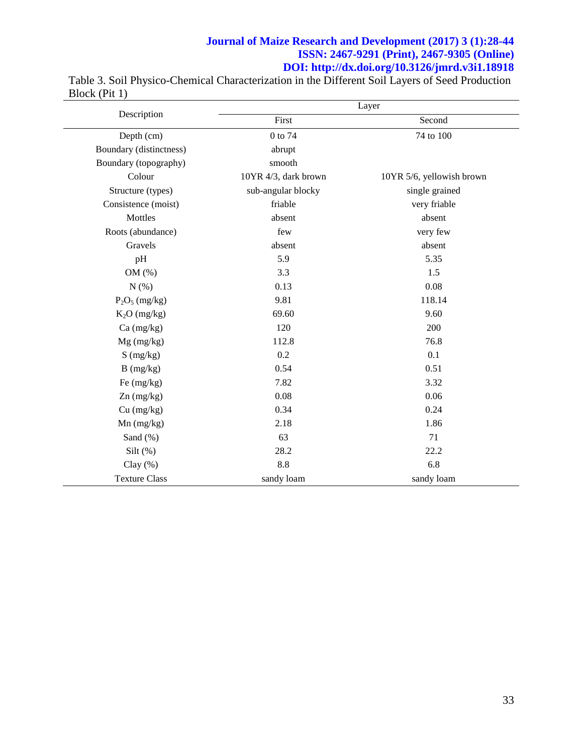Table 3. Soil Physico-Chemical Characterization in the Different Soil Layers of Seed Production Block (Pit 1)

|                         | Layer                |                           |  |
|-------------------------|----------------------|---------------------------|--|
| Description             | First                | Second                    |  |
| Depth (cm)              | 0 to 74              | 74 to 100                 |  |
| Boundary (distinctness) | abrupt               |                           |  |
| Boundary (topography)   | smooth               |                           |  |
| Colour                  | 10YR 4/3, dark brown | 10YR 5/6, yellowish brown |  |
| Structure (types)       | sub-angular blocky   | single grained            |  |
| Consistence (moist)     | friable              | very friable              |  |
| Mottles                 | absent               | absent                    |  |
| Roots (abundance)       | few                  | very few                  |  |
| Gravels                 | absent               | absent                    |  |
| pH                      | 5.9                  | 5.35                      |  |
| OM $(\%)$               | 3.3                  | 1.5                       |  |
| N(%)                    | 0.13                 | 0.08                      |  |
| $P_2O_5$ (mg/kg)        | 9.81                 | 118.14                    |  |
| $K2O$ (mg/kg)           | 69.60                | 9.60                      |  |
| $Ca$ (mg/kg)            | 120                  | 200                       |  |
| $Mg$ (mg/kg)            | 112.8                | 76.8                      |  |
| $S$ (mg/kg)             | 0.2                  | 0.1                       |  |
| $B$ (mg/kg)             | 0.54                 | 0.51                      |  |
| Fe $(mg/kg)$            | 7.82                 | 3.32                      |  |
| $Zn$ (mg/kg)            | 0.08                 | 0.06                      |  |
| Cu (mg/kg)              | 0.34                 | 0.24                      |  |
| $Mn$ (mg/kg)            | 2.18                 | 1.86                      |  |
| Sand $(\% )$            | 63                   | 71                        |  |
| Silt $(\%)$             | 28.2                 | 22.2                      |  |
| Clay $(\% )$            | 8.8                  | 6.8                       |  |
| <b>Texture Class</b>    | sandy loam           | sandy loam                |  |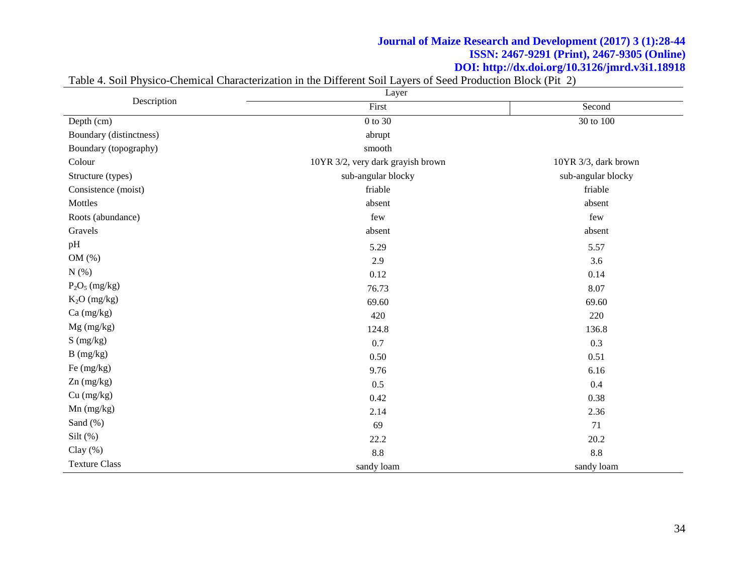# Table 4. Soil Physico-Chemical Characterization in the Different Soil Layers of Seed Production Block (Pit 2)

|                         | Layer                             |                      |
|-------------------------|-----------------------------------|----------------------|
| Description             | First                             | Second               |
| Depth (cm)              | 0 to 30                           | 30 to 100            |
| Boundary (distinctness) | abrupt                            |                      |
| Boundary (topography)   | smooth                            |                      |
| Colour                  | 10YR 3/2, very dark grayish brown | 10YR 3/3, dark brown |
| Structure (types)       | sub-angular blocky                | sub-angular blocky   |
| Consistence (moist)     | friable                           | friable              |
| Mottles                 | absent                            | absent               |
| Roots (abundance)       | few                               | few                  |
| Gravels                 | absent                            | absent               |
| pH                      | 5.29                              | 5.57                 |
| OM $(\%)$               | 2.9                               | 3.6                  |
| N(%)                    | 0.12                              | 0.14                 |
| $P_2O_5$ (mg/kg)        | 76.73                             | 8.07                 |
| $K2O$ (mg/kg)           | 69.60                             | 69.60                |
| Ca (mg/kg)              | 420                               | 220                  |
| $Mg$ (mg/kg)            | 124.8                             | 136.8                |
| S(mg/kg)                | 0.7                               | 0.3                  |
| B(mg/kg)                | 0.50                              | 0.51                 |
| Fe (mg/kg)              | 9.76                              | 6.16                 |
| $Zn$ (mg/kg)            | 0.5                               | 0.4                  |
| Cu (mg/kg)              | 0.42                              | 0.38                 |
| $Mn$ (mg/kg)            | 2.14                              | 2.36                 |
| Sand (%)                | 69                                | 71                   |
| Silt $(\%)$             | 22.2                              | 20.2                 |
| Clay $(\%)$             | 8.8                               | $8.8\,$              |
| <b>Texture Class</b>    | sandy loam                        | sandy loam           |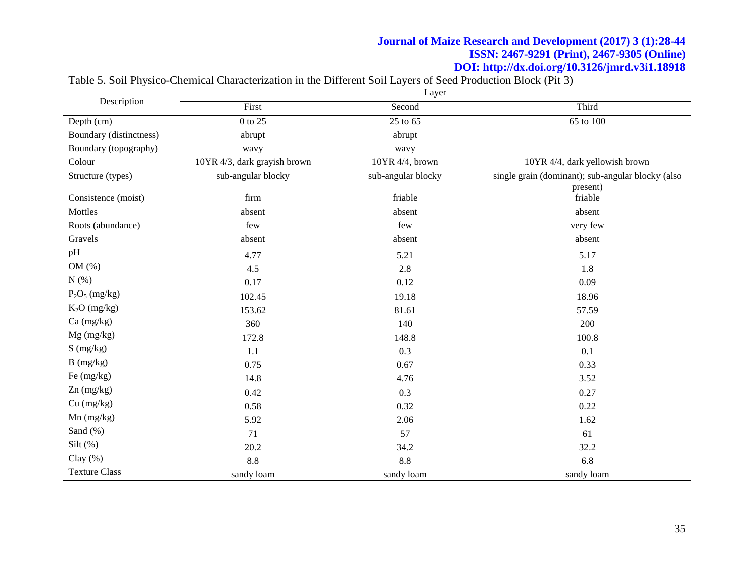| Table 5. Soil Physico-Chemical Characterization in the Different Soil Layers of Seed Production Block (Pit 3) |  |
|---------------------------------------------------------------------------------------------------------------|--|
|                                                                                                               |  |
|                                                                                                               |  |
|                                                                                                               |  |
|                                                                                                               |  |

|                         |                              | Layer              |                                                   |
|-------------------------|------------------------------|--------------------|---------------------------------------------------|
| Description             | First                        | Second             | Third                                             |
| Depth (cm)              | $0$ to $25\,$                | 25 to 65           | 65 to 100                                         |
| Boundary (distinctness) | abrupt                       | abrupt             |                                                   |
| Boundary (topography)   | wavy                         | wavy               |                                                   |
| Colour                  | 10YR 4/3, dark grayish brown | 10YR 4/4, brown    | 10YR 4/4, dark yellowish brown                    |
| Structure (types)       | sub-angular blocky           | sub-angular blocky | single grain (dominant); sub-angular blocky (also |
| Consistence (moist)     | firm                         | friable            | present)<br>friable                               |
| Mottles                 | absent                       | absent             | absent                                            |
| Roots (abundance)       | few                          | few                | very few                                          |
| Gravels                 | absent                       | absent             | absent                                            |
| pH                      | 4.77                         | 5.21               | 5.17                                              |
| OM $(\%)$               | 4.5                          | 2.8                | 1.8                                               |
| N(%)                    | 0.17                         | 0.12               | 0.09                                              |
| $P_2O_5$ (mg/kg)        | 102.45                       | 19.18              | 18.96                                             |
| $K2O$ (mg/kg)           | 153.62                       | 81.61              | 57.59                                             |
| Ca (mg/kg)              | 360                          | 140                | 200                                               |
| $Mg$ (mg/kg)            | 172.8                        | 148.8              | 100.8                                             |
| S(mg/kg)                | 1.1                          | 0.3                | 0.1                                               |
| B(mg/kg)                | 0.75                         | 0.67               | 0.33                                              |
| Fe $(mg/kg)$            | 14.8                         | 4.76               | 3.52                                              |
| $Zn$ (mg/kg)            | 0.42                         | 0.3                | 0.27                                              |
| Cu (mg/kg)              | 0.58                         | 0.32               | 0.22                                              |
| $Mn$ (mg/kg)            | 5.92                         | 2.06               | 1.62                                              |
| Sand (%)                | 71                           | 57                 | 61                                                |
| Silt $(\%)$             | 20.2                         | 34.2               | 32.2                                              |
| Clay $(\% )$            | 8.8                          | 8.8                | 6.8                                               |
| <b>Texture Class</b>    | sandy loam                   | sandy loam         | sandy loam                                        |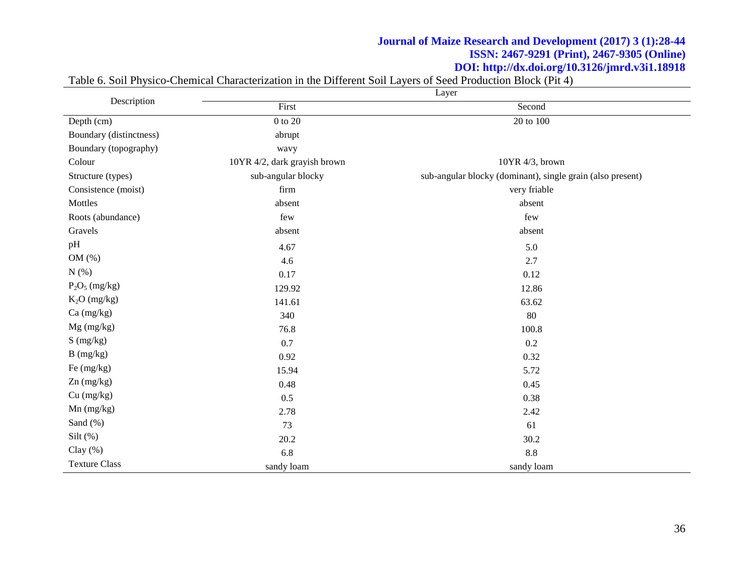Table 6. Soil Physico-Chemical Characterization in the Different Soil Layers of Seed Production Block (Pit 4)

|                         | Layer                        |                                                            |  |
|-------------------------|------------------------------|------------------------------------------------------------|--|
| Description             | First                        | Second                                                     |  |
| Depth (cm)              | $0$ to $20\,$                | 20 to 100                                                  |  |
| Boundary (distinctness) | abrupt                       |                                                            |  |
| Boundary (topography)   | wavy                         |                                                            |  |
| Colour                  | 10YR 4/2, dark grayish brown | 10YR 4/3, brown                                            |  |
| Structure (types)       | sub-angular blocky           | sub-angular blocky (dominant), single grain (also present) |  |
| Consistence (moist)     | firm                         | very friable                                               |  |
| Mottles                 | absent                       | absent                                                     |  |
| Roots (abundance)       | few                          | few                                                        |  |
| Gravels                 | absent                       | absent                                                     |  |
| pH                      | 4.67                         | 5.0                                                        |  |
| OM $(\%)$               | 4.6                          | 2.7                                                        |  |
| N(%)                    | 0.17                         | 0.12                                                       |  |
| $P_2O_5$ (mg/kg)        | 129.92                       | 12.86                                                      |  |
| $K2O$ (mg/kg)           | 141.61                       | 63.62                                                      |  |
| Ca (mg/kg)              | 340                          | 80                                                         |  |
| $Mg$ (mg/kg)            | 76.8                         | 100.8                                                      |  |
| S(mg/kg)                | 0.7                          | 0.2                                                        |  |
| B(mg/kg)                | 0.92                         | 0.32                                                       |  |
| Fe (mg/kg)              | 15.94                        | 5.72                                                       |  |
| $Zn$ (mg/kg)            | 0.48                         | 0.45                                                       |  |
| Cu (mg/kg)              | 0.5                          | 0.38                                                       |  |
| $Mn$ (mg/kg)            | 2.78                         | 2.42                                                       |  |
| Sand (%)                | 73                           | 61                                                         |  |
| Silt $(\%)$             | 20.2                         | 30.2                                                       |  |
| Clay $(\% )$            | 6.8                          | 8.8                                                        |  |
| <b>Texture Class</b>    | sandy loam                   | sandy loam                                                 |  |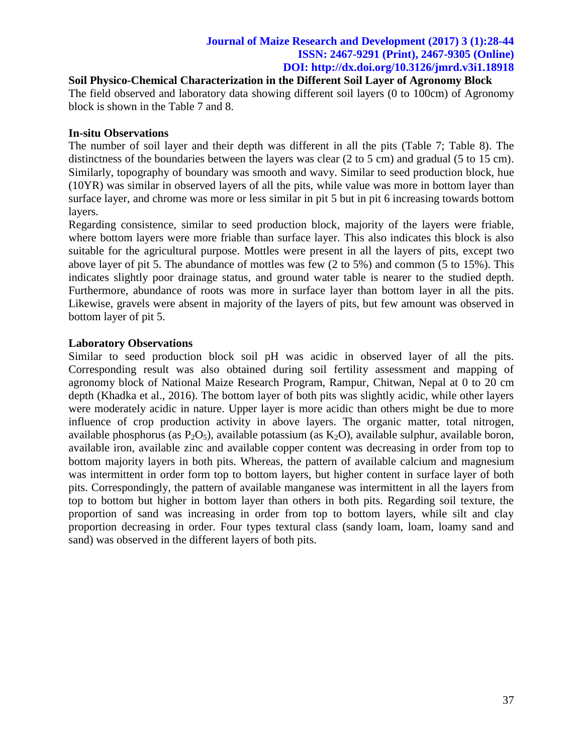# **Soil Physico-Chemical Characterization in the Different Soil Layer of Agronomy Block**

The field observed and laboratory data showing different soil layers (0 to 100cm) of Agronomy block is shown in the Table 7 and 8.

#### **In-situ Observations**

The number of soil layer and their depth was different in all the pits (Table 7; Table 8). The distinctness of the boundaries between the layers was clear (2 to 5 cm) and gradual (5 to 15 cm). Similarly, topography of boundary was smooth and wavy. Similar to seed production block, hue (10YR) was similar in observed layers of all the pits, while value was more in bottom layer than surface layer, and chrome was more or less similar in pit 5 but in pit 6 increasing towards bottom layers.

Regarding consistence, similar to seed production block, majority of the layers were friable, where bottom layers were more friable than surface layer. This also indicates this block is also suitable for the agricultural purpose. Mottles were present in all the layers of pits, except two above layer of pit 5. The abundance of mottles was few (2 to 5%) and common (5 to 15%). This indicates slightly poor drainage status, and ground water table is nearer to the studied depth. Furthermore, abundance of roots was more in surface layer than bottom layer in all the pits. Likewise, gravels were absent in majority of the layers of pits, but few amount was observed in bottom layer of pit 5.

# **Laboratory Observations**

Similar to seed production block soil pH was acidic in observed layer of all the pits. Corresponding result was also obtained during soil fertility assessment and mapping of agronomy block of National Maize Research Program, Rampur, Chitwan, Nepal at 0 to 20 cm depth (Khadka et al., 2016). The bottom layer of both pits was slightly acidic, while other layers were moderately acidic in nature. Upper layer is more acidic than others might be due to more influence of crop production activity in above layers. The organic matter, total nitrogen, available phosphorus (as  $P_2O_5$ ), available potassium (as  $K_2O$ ), available sulphur, available boron, available iron, available zinc and available copper content was decreasing in order from top to bottom majority layers in both pits. Whereas, the pattern of available calcium and magnesium was intermittent in order form top to bottom layers, but higher content in surface layer of both pits. Correspondingly, the pattern of available manganese was intermittent in all the layers from top to bottom but higher in bottom layer than others in both pits. Regarding soil texture, the proportion of sand was increasing in order from top to bottom layers, while silt and clay proportion decreasing in order. Four types textural class (sandy loam, loam, loamy sand and sand) was observed in the different layers of both pits.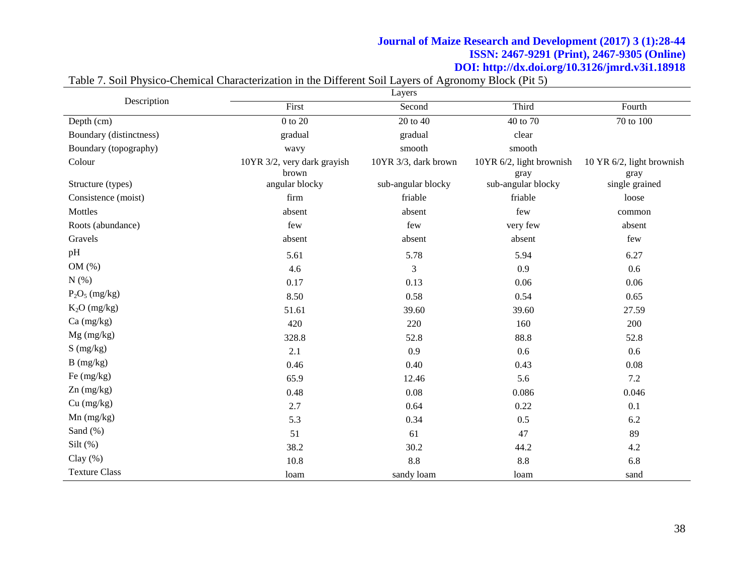# Table 7. Soil Physico-Chemical Characterization in the Different Soil Layers of Agronomy Block (Pit 5)

|                         |                             | Layers               |                          |                           |
|-------------------------|-----------------------------|----------------------|--------------------------|---------------------------|
| Description             | First                       | Second               | Third                    | Fourth                    |
| Depth (cm)              | $0$ to $20\,$               | 20 to 40             | 40 to 70                 | 70 to 100                 |
| Boundary (distinctness) | gradual                     | gradual              | clear                    |                           |
| Boundary (topography)   | wavy                        | smooth               | smooth                   |                           |
| Colour                  | 10YR 3/2, very dark grayish | 10YR 3/3, dark brown | 10YR 6/2, light brownish | 10 YR 6/2, light brownish |
|                         | brown                       |                      | gray                     | gray                      |
| Structure (types)       | angular blocky              | sub-angular blocky   | sub-angular blocky       | single grained            |
| Consistence (moist)     | firm                        | friable              | friable                  | loose                     |
| Mottles                 | absent                      | absent               | few                      | common                    |
| Roots (abundance)       | few                         | few                  | very few                 | absent                    |
| Gravels                 | absent                      | absent               | absent                   | few                       |
| pH                      | 5.61                        | 5.78                 | 5.94                     | 6.27                      |
| OM $(\%)$               | 4.6                         | 3                    | 0.9                      | 0.6                       |
| N(%)                    | 0.17                        | 0.13                 | 0.06                     | 0.06                      |
| $P_2O_5$ (mg/kg)        | 8.50                        | 0.58                 | 0.54                     | 0.65                      |
| $K2O$ (mg/kg)           | 51.61                       | 39.60                | 39.60                    | 27.59                     |
| Ca (mg/kg)              | 420                         | 220                  | 160                      | 200                       |
| $Mg$ (mg/kg)            | 328.8                       | 52.8                 | 88.8                     | 52.8                      |
| $S$ (mg/kg)             | 2.1                         | 0.9                  | 0.6                      | 0.6                       |
| B(mg/kg)                | 0.46                        | 0.40                 | 0.43                     | 0.08                      |
| Fe (mg/kg)              | 65.9                        | 12.46                | 5.6                      | 7.2                       |
| $Zn$ (mg/kg)            | 0.48                        | 0.08                 | 0.086                    | 0.046                     |
| Cu (mg/kg)              | 2.7                         | 0.64                 | 0.22                     | 0.1                       |
| $Mn$ (mg/kg)            | 5.3                         | 0.34                 | 0.5                      | 6.2                       |
| Sand $(\%)$             | 51                          | 61                   | 47                       | 89                        |
| Silt $(\%)$             | 38.2                        | 30.2                 | 44.2                     | 4.2                       |
| Clay $(\% )$            | 10.8                        | 8.8                  | 8.8                      | 6.8                       |
| <b>Texture Class</b>    | loam                        | sandy loam           | loam                     | sand                      |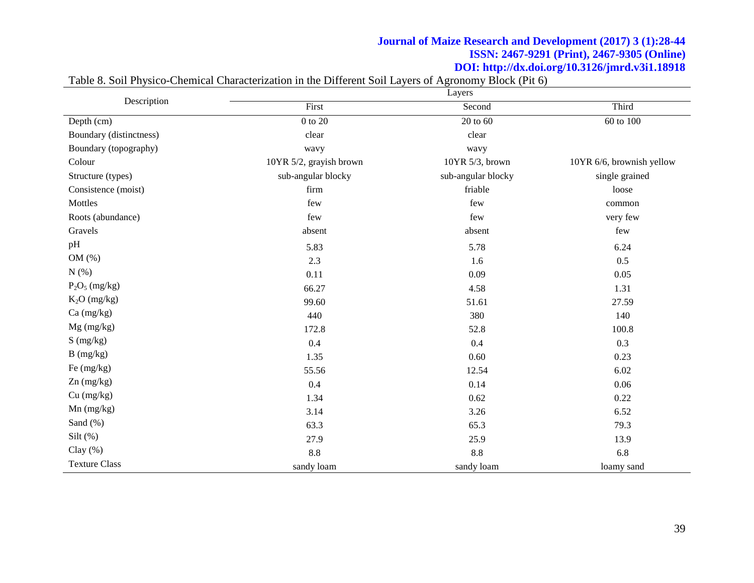# Table 8. Soil Physico-Chemical Characterization in the Different Soil Layers of Agronomy Block (Pit 6)

|                         |                         | Layers             |                           |
|-------------------------|-------------------------|--------------------|---------------------------|
| Description             | First                   | Second             | Third                     |
| Depth (cm)              | $0$ to $20$             | 20 to 60           | 60 to 100                 |
| Boundary (distinctness) | clear                   | clear              |                           |
| Boundary (topography)   | wavy                    | wavy               |                           |
| Colour                  | 10YR 5/2, grayish brown | 10YR 5/3, brown    | 10YR 6/6, brownish yellow |
| Structure (types)       | sub-angular blocky      | sub-angular blocky | single grained            |
| Consistence (moist)     | firm                    | friable            | loose                     |
| Mottles                 | few                     | few                | common                    |
| Roots (abundance)       | few                     | few                | very few                  |
| Gravels                 | absent                  | absent             | few                       |
| pH                      | 5.83                    | 5.78               | 6.24                      |
| OM (%)                  | 2.3                     | 1.6                | 0.5                       |
| $N(\%)$                 | 0.11                    | 0.09               | 0.05                      |
| $P_2O_5$ (mg/kg)        | 66.27                   | 4.58               | 1.31                      |
| $K2O$ (mg/kg)           | 99.60                   | 51.61              | 27.59                     |
| Ca (mg/kg)              | 440                     | 380                | 140                       |
| $Mg$ (mg/kg)            | 172.8                   | 52.8               | 100.8                     |
| S(mg/kg)                | 0.4                     | 0.4                | 0.3                       |
| B(mg/kg)                | 1.35                    | 0.60               | 0.23                      |
| Fe $(mg/kg)$            | 55.56                   | 12.54              | 6.02                      |
| $Zn$ (mg/kg)            | 0.4                     | 0.14               | 0.06                      |
| Cu (mg/kg)              | 1.34                    | 0.62               | 0.22                      |
| $Mn$ (mg/kg)            | 3.14                    | 3.26               | 6.52                      |
| Sand (%)                | 63.3                    | 65.3               | 79.3                      |
| Silt $(\%)$             | 27.9                    | 25.9               | 13.9                      |
| Clay $(\% )$            | 8.8                     | 8.8                | 6.8                       |
| <b>Texture Class</b>    | sandy loam              | sandy loam         | loamy sand                |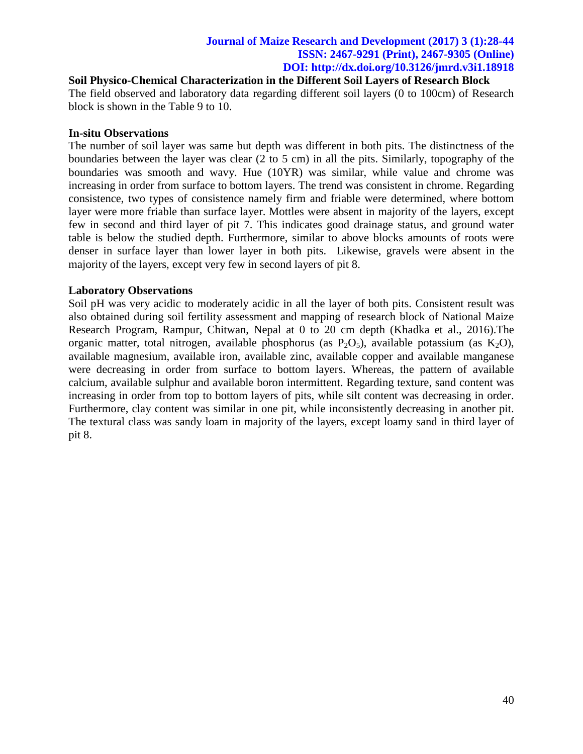# **Soil Physico-Chemical Characterization in the Different Soil Layers of Research Block**

The field observed and laboratory data regarding different soil layers (0 to 100cm) of Research block is shown in the Table 9 to 10.

#### **In-situ Observations**

The number of soil layer was same but depth was different in both pits. The distinctness of the boundaries between the layer was clear (2 to 5 cm) in all the pits. Similarly, topography of the boundaries was smooth and wavy. Hue (10YR) was similar, while value and chrome was increasing in order from surface to bottom layers. The trend was consistent in chrome. Regarding consistence, two types of consistence namely firm and friable were determined, where bottom layer were more friable than surface layer. Mottles were absent in majority of the layers, except few in second and third layer of pit 7. This indicates good drainage status, and ground water table is below the studied depth. Furthermore, similar to above blocks amounts of roots were denser in surface layer than lower layer in both pits. Likewise, gravels were absent in the majority of the layers, except very few in second layers of pit 8.

#### **Laboratory Observations**

Soil pH was very acidic to moderately acidic in all the layer of both pits. Consistent result was also obtained during soil fertility assessment and mapping of research block of National Maize Research Program, Rampur, Chitwan, Nepal at 0 to 20 cm depth (Khadka et al., 2016).The organic matter, total nitrogen, available phosphorus (as  $P_2O_5$ ), available potassium (as  $K_2O$ ), available magnesium, available iron, available zinc, available copper and available manganese were decreasing in order from surface to bottom layers. Whereas, the pattern of available calcium, available sulphur and available boron intermittent. Regarding texture, sand content was increasing in order from top to bottom layers of pits, while silt content was decreasing in order. Furthermore, clay content was similar in one pit, while inconsistently decreasing in another pit. The textural class was sandy loam in majority of the layers, except loamy sand in third layer of pit 8.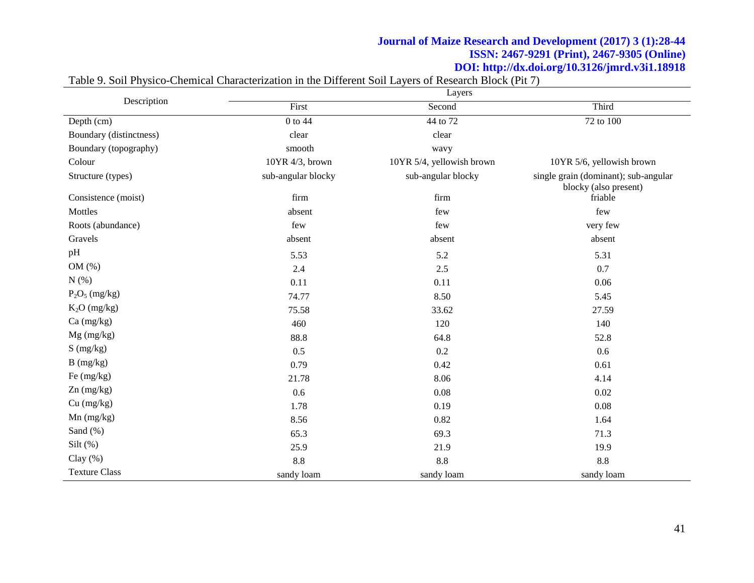# Table 9. Soil Physico-Chemical Characterization in the Different Soil Layers of Research Block (Pit 7)

|                         |                    | Layers                    |                                                               |
|-------------------------|--------------------|---------------------------|---------------------------------------------------------------|
| Description             | First              | Second                    | Third                                                         |
| Depth (cm)              | $0$ to 44          | 44 to 72                  | 72 to 100                                                     |
| Boundary (distinctness) | clear              | clear                     |                                                               |
| Boundary (topography)   | smooth             | wavy                      |                                                               |
| Colour                  | 10YR 4/3, brown    | 10YR 5/4, yellowish brown | 10YR 5/6, yellowish brown                                     |
| Structure (types)       | sub-angular blocky | sub-angular blocky        | single grain (dominant); sub-angular<br>blocky (also present) |
| Consistence (moist)     | firm               | firm                      | friable                                                       |
| Mottles                 | absent             | few                       | few                                                           |
| Roots (abundance)       | few                | few                       | very few                                                      |
| Gravels                 | absent             | absent                    | absent                                                        |
| pH                      | 5.53               | 5.2                       | 5.31                                                          |
| OM (%)                  | 2.4                | 2.5                       | 0.7                                                           |
| $N(\%)$                 | 0.11               | 0.11                      | 0.06                                                          |
| $P_2O_5$ (mg/kg)        | 74.77              | 8.50                      | 5.45                                                          |
| $K2O$ (mg/kg)           | 75.58              | 33.62                     | 27.59                                                         |
| Ca (mg/kg)              | 460                | 120                       | 140                                                           |
| $Mg$ (mg/kg)            | 88.8               | 64.8                      | 52.8                                                          |
| S(mg/kg)                | 0.5                | 0.2                       | 0.6                                                           |
| B(mg/kg)                | 0.79               | 0.42                      | 0.61                                                          |
| Fe $(mg/kg)$            | 21.78              | 8.06                      | 4.14                                                          |
| $Zn$ (mg/kg)            | 0.6                | 0.08                      | 0.02                                                          |
| Cu (mg/kg)              | 1.78               | 0.19                      | 0.08                                                          |
| $Mn$ (mg/kg)            | 8.56               | 0.82                      | 1.64                                                          |
| Sand (%)                | 65.3               | 69.3                      | 71.3                                                          |
| Silt $(\%)$             | 25.9               | 21.9                      | 19.9                                                          |
| Clay $(\%)$             | 8.8                | 8.8                       | 8.8                                                           |
| <b>Texture Class</b>    | sandy loam         | sandy loam                | sandy loam                                                    |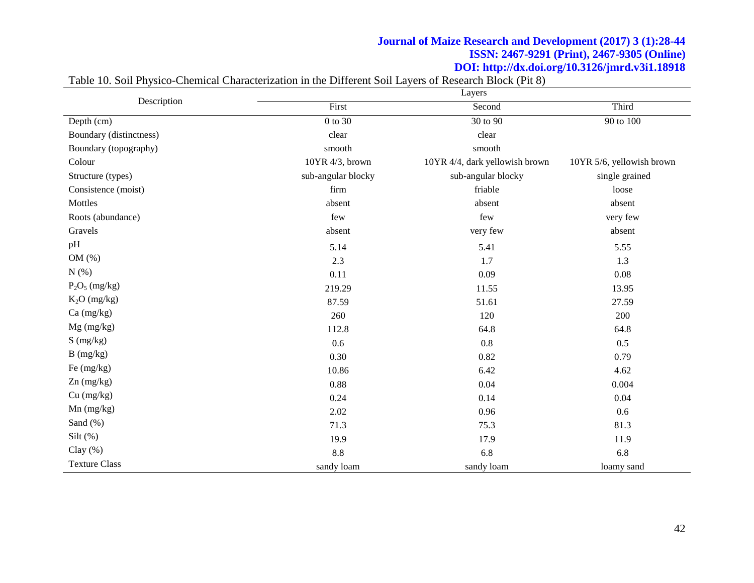# Table 10. Soil Physico-Chemical Characterization in the Different Soil Layers of Research Block (Pit 8)

|                         |                    | Layers                         |                           |
|-------------------------|--------------------|--------------------------------|---------------------------|
| Description             | First              | Second                         | Third                     |
| Depth (cm)              | $0$ to $30$        | 30 to 90                       | 90 to 100                 |
| Boundary (distinctness) | clear              | clear                          |                           |
| Boundary (topography)   | smooth             | smooth                         |                           |
| Colour                  | 10YR 4/3, brown    | 10YR 4/4, dark yellowish brown | 10YR 5/6, yellowish brown |
| Structure (types)       | sub-angular blocky | sub-angular blocky             | single grained            |
| Consistence (moist)     | firm               | friable                        | loose                     |
| Mottles                 | absent             | absent                         | absent                    |
| Roots (abundance)       | few                | few                            | very few                  |
| Gravels                 | absent             | very few                       | absent                    |
| pH                      | 5.14               | 5.41                           | 5.55                      |
| OM $(\%)$               | 2.3                | 1.7                            | 1.3                       |
| N(%)                    | 0.11               | 0.09                           | 0.08                      |
| $P_2O_5$ (mg/kg)        | 219.29             | 11.55                          | 13.95                     |
| $K2O$ (mg/kg)           | 87.59              | 51.61                          | 27.59                     |
| Ca (mg/kg)              | 260                | 120                            | 200                       |
| Mg (mg/kg)              | 112.8              | 64.8                           | 64.8                      |
| S(mg/kg)                | 0.6                | 0.8                            | 0.5                       |
| $B$ (mg/kg)             | 0.30               | 0.82                           | 0.79                      |
| Fe $(mg/kg)$            | 10.86              | 6.42                           | 4.62                      |
| $Zn$ (mg/kg)            | 0.88               | 0.04                           | 0.004                     |
| Cu (mg/kg)              | 0.24               | 0.14                           | 0.04                      |
| $Mn$ (mg/kg)            | 2.02               | 0.96                           | 0.6                       |
| Sand (%)                | 71.3               | 75.3                           | 81.3                      |
| Silt $(\%)$             | 19.9               | 17.9                           | 11.9                      |
| Clay $(\% )$            | $8.8\,$            | 6.8                            | 6.8                       |
| <b>Texture Class</b>    | sandy loam         | sandy loam                     | loamy sand                |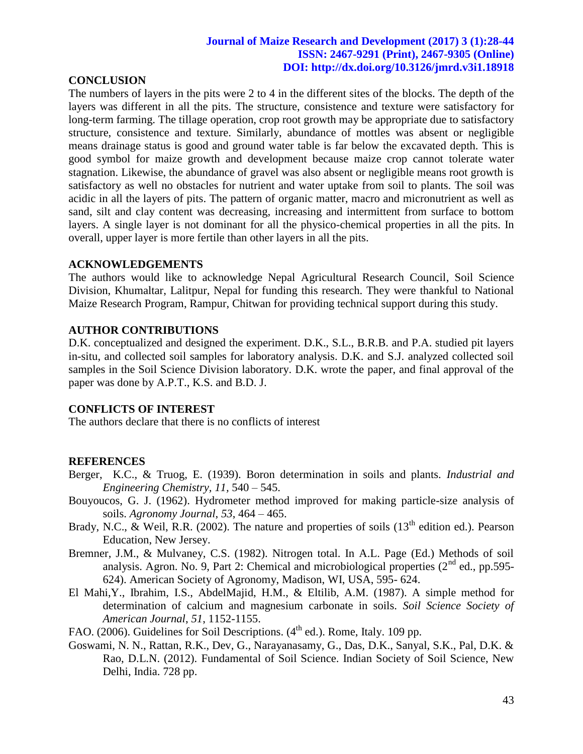# **CONCLUSION**

The numbers of layers in the pits were 2 to 4 in the different sites of the blocks. The depth of the layers was different in all the pits. The structure, consistence and texture were satisfactory for long-term farming. The tillage operation, crop root growth may be appropriate due to satisfactory structure, consistence and texture. Similarly, abundance of mottles was absent or negligible means drainage status is good and ground water table is far below the excavated depth. This is good symbol for maize growth and development because maize crop cannot tolerate water stagnation. Likewise, the abundance of gravel was also absent or negligible means root growth is satisfactory as well no obstacles for nutrient and water uptake from soil to plants. The soil was acidic in all the layers of pits. The pattern of organic matter, macro and micronutrient as well as sand, silt and clay content was decreasing, increasing and intermittent from surface to bottom layers. A single layer is not dominant for all the physico-chemical properties in all the pits. In overall, upper layer is more fertile than other layers in all the pits.

#### **ACKNOWLEDGEMENTS**

The authors would like to acknowledge Nepal Agricultural Research Council, Soil Science Division, Khumaltar, Lalitpur, Nepal for funding this research. They were thankful to National Maize Research Program, Rampur, Chitwan for providing technical support during this study.

# **AUTHOR CONTRIBUTIONS**

D.K. conceptualized and designed the experiment. D.K., S.L., B.R.B. and P.A. studied pit layers in-situ, and collected soil samples for laboratory analysis. D.K. and S.J. analyzed collected soil samples in the Soil Science Division laboratory. D.K. wrote the paper, and final approval of the paper was done by A.P.T., K.S. and B.D. J.

# **CONFLICTS OF INTEREST**

The authors declare that there is no conflicts of interest

# **REFERENCES**

- Berger, K.C., & Truog, E. (1939). Boron determination in soils and plants. *Industrial and Engineering Chemistry, 11,* 540 – 545.
- Bouyoucos, G. J. (1962). Hydrometer method improved for making particle-size analysis of soils. *Agronomy Journal*, *53*, 464 – 465.
- Brady, N.C.,  $\&$  Weil, R.R. (2002). The nature and properties of soils (13<sup>th</sup> edition ed.). Pearson Education, New Jersey.
- Bremner, J.M., & Mulvaney, C.S. (1982). Nitrogen total. In A.L. Page (Ed.) Methods of soil analysis. Agron. No. 9, Part 2: Chemical and microbiological properties  $(2<sup>nd</sup>$  ed., pp.595-624). American Society of Agronomy, Madison, WI, USA, 595- 624.
- El Mahi,Y., Ibrahim, I.S., AbdelMajid, H.M., & Eltilib, A.M. (1987). A simple method for determination of calcium and magnesium carbonate in soils. *Soil Science Society of American Journal*, *51*, 1152-1155.
- FAO. (2006). Guidelines for Soil Descriptions.  $(4<sup>th</sup>$  ed.). Rome, Italy. 109 pp.
- Goswami, N. N., Rattan, R.K., Dev, G., Narayanasamy, G., Das, D.K., Sanyal, S.K., Pal, D.K. & Rao, D.L.N. (2012). Fundamental of Soil Science. Indian Society of Soil Science, New Delhi, India. 728 pp.